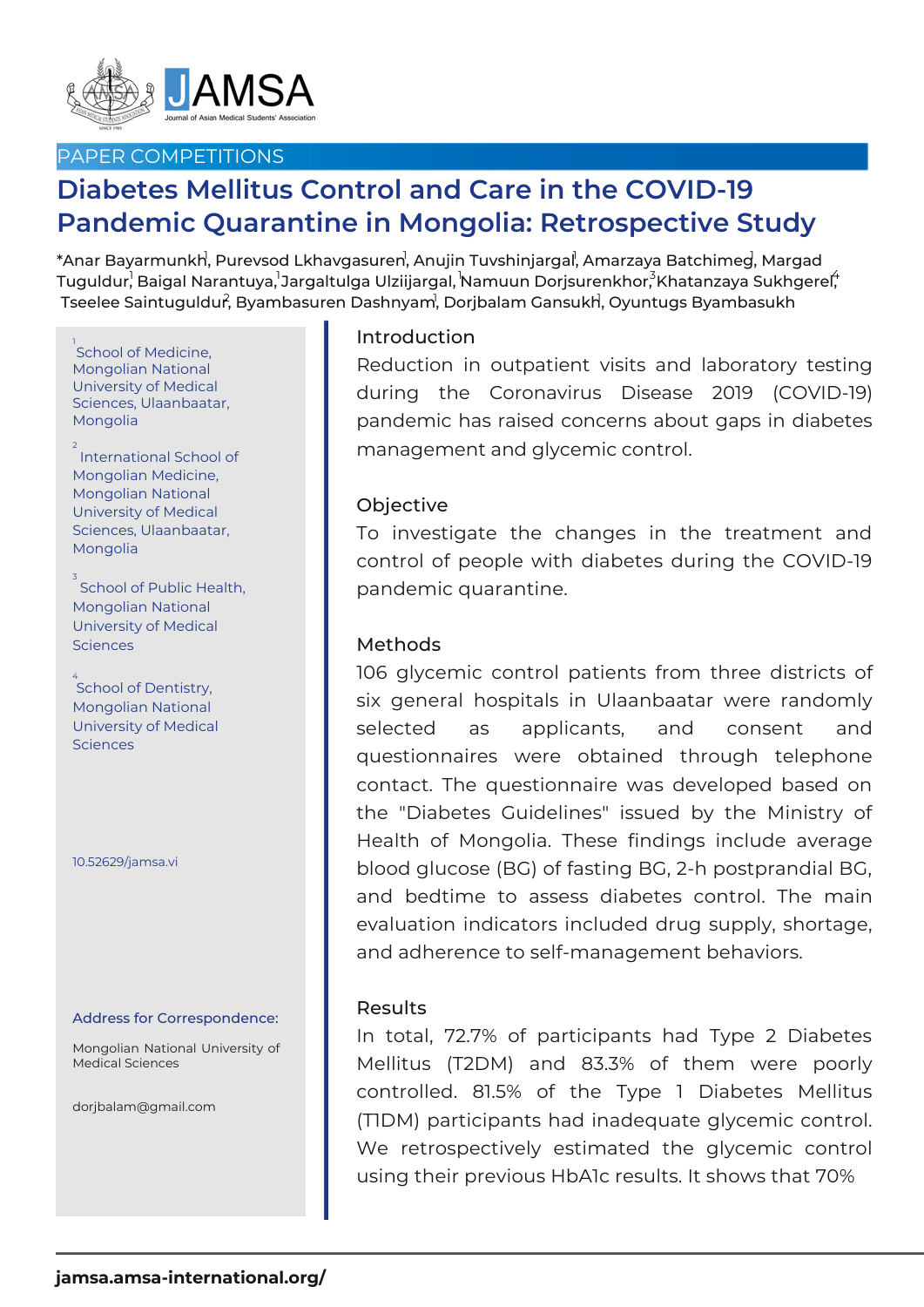

## PAPER COMPETITIONS

# **Diabetes Mellitus Control and Care in the COVID-19 Pandemic Quarantine in Mongolia: Retrospective Study**

 $^*$ Anar Bayarmunkh $\,$  Purevsod Lkhavgasuren $\,$ , Anujin Tuvshinjargal $\,$ , Amarzaya Batchime $\rm g$ , Margad Tuguldur, Baigal Narantuya, Jargaltulga Ulziijargal, Namuun Dorjsurenkhor, $^3$ Khatanzaya Sukhgerel $\H$ Tseelee Saintuguldur<sup>̂</sup>, Byambasuren Dashnyam<sup>¦</sup>, Dorjbalam Gansukh<sup>¦</sup>, Oyuntugs Byambasukh

1<br>School of Medicine, Mongolian National University of Medical Sciences, Ulaanbaatar, Mongolia

<sup>2</sup> International School of Mongolian Medicine, Mongolian National University of Medical Sciences, Ulaanbaatar, Mongolia

 $\frac{3}{3}$ School of Public Health, Mongolian National University of Medical **Sciences** 

 $4$  School of Dentistry, Mongolian National University of Medical **Sciences** 

10.52629/jamsa.vi

#### Address for Correspondence:

Mongolian National University of Medical Sciences

dorjbalam@gmail.com

### Introduction

Reduction in outpatient visits and laboratory testing during the Coronavirus Disease 2019 (COVID-19) pandemic has raised concerns about gaps in diabetes management and glycemic control.

#### **Objective**

To investigate the changes in the treatment and control of people with diabetes during the COVID-19 pandemic quarantine.

#### Methods

106 glycemic control patients from three districts of six general hospitals in Ulaanbaatar were randomly selected as applicants, and consent and questionnaires were obtained through telephone contact. The questionnaire was developed based on the "Diabetes Guidelines" issued by the Ministry of Health of Mongolia. These findings include average blood glucose (BG) of fasting BG, 2-h postprandial BG, and bedtime to assess diabetes control. The main evaluation indicators included drug supply, shortage, and adherence to self-management behaviors.

#### Results

In total, 72.7% of participants had Type 2 Diabetes Mellitus (T2DM) and 83.3% of them were poorly controlled. 81.5% of the Type 1 Diabetes Mellitus (T1DM) participants had inadequate glycemic control. We retrospectively estimated the glycemic control using their previous HbA1c results. It shows that 70%